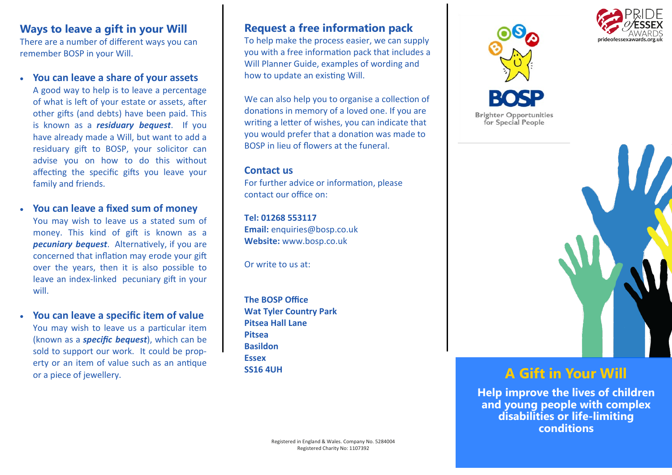# **Ways to leave a gift in your Will**

There are a number of different ways you can remember BOSP in your Will.

• **You can leave a share of your assets**

A good way to help is to leave a percentage of what is left of your estate or assets, after other gifts (and debts) have been paid. This is known as a *residuary bequest*. If you have already made a Will, but want to add a residuary gift to BOSP, your solicitor can advise you on how to do this without affecting the specific gifts you leave your family and friends.

- **You can leave a fixed sum of money** You may wish to leave us a stated sum of money. This kind of gift is known as a *pecuniary bequest*. Alternatively, if you are concerned that inflation may erode your gift over the years, then it is also possible to leave an index-linked pecuniary gift in your will.
- **You can leave a specific item of value** You may wish to leave us a particular item (known as a *specific bequest*), which can be sold to support our work. It could be property or an item of value such as an antique or a piece of jewellery. **A** Gift in Your Will

# **Request a free information pack**

To help make the process easier, we can supply you with a free information pack that includes a Will Planner Guide, examples of wording and how to update an existing Will.

We can also help you to organise a collection of donations in memory of a loved one. If you are writing a letter of wishes, you can indicate that you would prefer that a donation was made to BOSP in lieu of flowers at the funeral.

#### **Contact us**

For further advice or information, please contact our office on:

**Tel: 01268 553117 Email:** enquiries@bosp.co.uk **Website:** www.bosp.co.uk

Or write to us at:

**The BOSP Office Wat Tyler Country Park Pitsea Hall Lane Pitsea Basildon Essex SS16 4UH**







**Help improve the lives of children and young people with complex disabilities or life-limiting conditions**